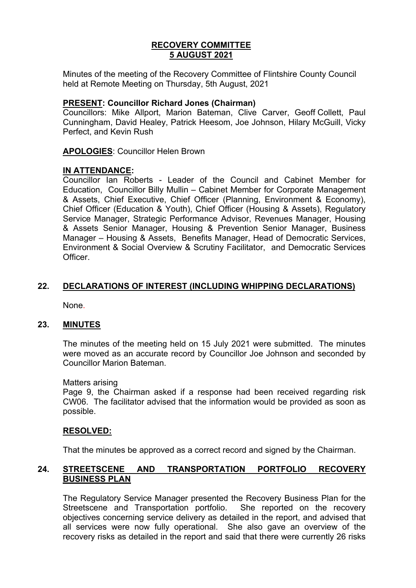## **RECOVERY COMMITTEE 5 AUGUST 2021**

Minutes of the meeting of the Recovery Committee of Flintshire County Council held at Remote Meeting on Thursday, 5th August, 2021

#### **PRESENT: Councillor Richard Jones (Chairman)**

Councillors: Mike Allport, Marion Bateman, Clive Carver, Geoff Collett, Paul Cunningham, David Healey, Patrick Heesom, Joe Johnson, Hilary McGuill, Vicky Perfect, and Kevin Rush

**APOLOGIES**: Councillor Helen Brown

#### **IN ATTENDANCE:**

Councillor Ian Roberts - Leader of the Council and Cabinet Member for Education, Councillor Billy Mullin – Cabinet Member for Corporate Management & Assets, Chief Executive, Chief Officer (Planning, Environment & Economy), Chief Officer (Education & Youth), Chief Officer (Housing & Assets), Regulatory Service Manager, Strategic Performance Advisor, Revenues Manager, Housing & Assets Senior Manager, Housing & Prevention Senior Manager, Business Manager – Housing & Assets, Benefits Manager, Head of Democratic Services, Environment & Social Overview & Scrutiny Facilitator, and Democratic Services **Officer** 

### **22. DECLARATIONS OF INTEREST (INCLUDING WHIPPING DECLARATIONS)**

None.

#### **23. MINUTES**

The minutes of the meeting held on 15 July 2021 were submitted. The minutes were moved as an accurate record by Councillor Joe Johnson and seconded by Councillor Marion Bateman.

#### Matters arising

 Page 9, the Chairman asked if a response had been received regarding risk CW06. The facilitator advised that the information would be provided as soon as possible.

#### **RESOLVED:**

That the minutes be approved as a correct record and signed by the Chairman.

### **24. STREETSCENE AND TRANSPORTATION PORTFOLIO RECOVERY BUSINESS PLAN**

The Regulatory Service Manager presented the Recovery Business Plan for the Streetscene and Transportation portfolio. She reported on the recovery objectives concerning service delivery as detailed in the report, and advised that all services were now fully operational. She also gave an overview of the recovery risks as detailed in the report and said that there were currently 26 risks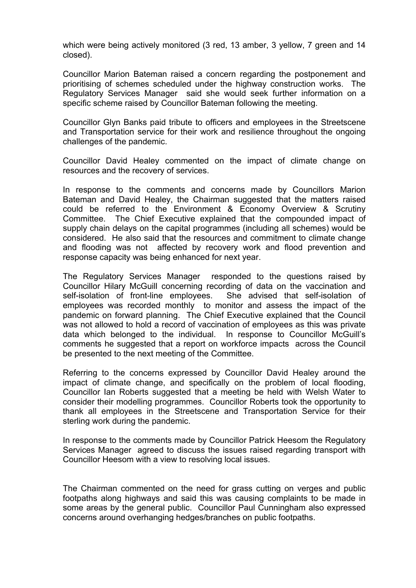which were being actively monitored (3 red, 13 amber, 3 yellow, 7 green and 14 closed).

Councillor Marion Bateman raised a concern regarding the postponement and prioritising of schemes scheduled under the highway construction works. The Regulatory Services Manager said she would seek further information on a specific scheme raised by Councillor Bateman following the meeting.

Councillor Glyn Banks paid tribute to officers and employees in the Streetscene and Transportation service for their work and resilience throughout the ongoing challenges of the pandemic.

Councillor David Healey commented on the impact of climate change on resources and the recovery of services.

In response to the comments and concerns made by Councillors Marion Bateman and David Healey, the Chairman suggested that the matters raised could be referred to the Environment & Economy Overview & Scrutiny Committee. The Chief Executive explained that the compounded impact of supply chain delays on the capital programmes (including all schemes) would be considered. He also said that the resources and commitment to climate change and flooding was not affected by recovery work and flood prevention and response capacity was being enhanced for next year.

The Regulatory Services Manager responded to the questions raised by Councillor Hilary McGuill concerning recording of data on the vaccination and self-isolation of front-line employees. She advised that self-isolation of employees was recorded monthly to monitor and assess the impact of the pandemic on forward planning. The Chief Executive explained that the Council was not allowed to hold a record of vaccination of employees as this was private data which belonged to the individual. In response to Councillor McGuill's comments he suggested that a report on workforce impacts across the Council be presented to the next meeting of the Committee.

Referring to the concerns expressed by Councillor David Healey around the impact of climate change, and specifically on the problem of local flooding, Councillor Ian Roberts suggested that a meeting be held with Welsh Water to consider their modelling programmes. Councillor Roberts took the opportunity to thank all employees in the Streetscene and Transportation Service for their sterling work during the pandemic.

In response to the comments made by Councillor Patrick Heesom the Regulatory Services Manager agreed to discuss the issues raised regarding transport with Councillor Heesom with a view to resolving local issues.

The Chairman commented on the need for grass cutting on verges and public footpaths along highways and said this was causing complaints to be made in some areas by the general public. Councillor Paul Cunningham also expressed concerns around overhanging hedges/branches on public footpaths.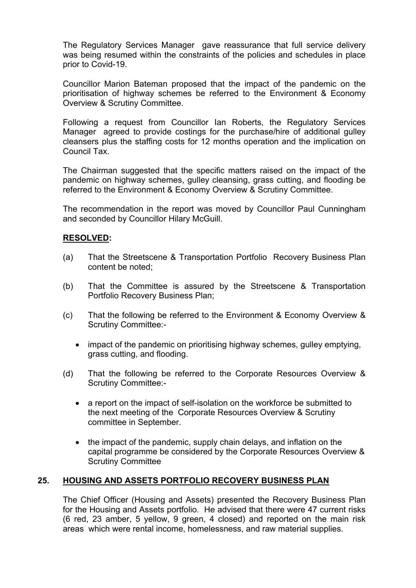The Regulatory Services Manager gave reassurance that full service delivery was being resumed within the constraints of the policies and schedules in place prior to Covid-19.

Councillor Marion Bateman proposed that the impact of the pandemic on the prioritisation of highway schemes be referred to the Environment & Economy Overview & Scrutiny Committee.

Following a request from Councillor Ian Roberts, the Regulatory Services Manager agreed to provide costings for the purchase/hire of additional gulley cleansers plus the staffing costs for 12 months operation and the implication on Council Tax.

The Chairman suggested that the specific matters raised on the impact of the pandemic on highway schemes, gulley cleansing, grass cutting, and flooding be referred to the Environment & Economy Overview & Scrutiny Committee.

The recommendation in the report was moved by Councillor Paul Cunningham and seconded by Councillor Hilary McGuill.

### **RESOLVED:**

- (a) That the Streetscene & Transportation Portfolio Recovery Business Plan content be noted;
- (b) That the Committee is assured by the Streetscene & Transportation Portfolio Recovery Business Plan;
- (c) That the following be referred to the Environment & Economy Overview & Scrutiny Committee:-
	- impact of the pandemic on prioritising highway schemes, gulley emptying, grass cutting, and flooding.
- (d) That the following be referred to the Corporate Resources Overview & Scrutiny Committee:
	- a report on the impact of self-isolation on the workforce be submitted to the next meeting of the Corporate Resources Overview & Scrutiny committee in September.
	- the impact of the pandemic, supply chain delays, and inflation on the capital programme be considered by the Corporate Resources Overview & Scrutiny Committee

# **25. HOUSING AND ASSETS PORTFOLIO RECOVERY BUSINESS PLAN**

The Chief Officer (Housing and Assets) presented the Recovery Business Plan for the Housing and Assets portfolio. He advised that there were 47 current risks (6 red, 23 amber, 5 yellow, 9 green, 4 closed) and reported on the main risk areas which were rental income, homelessness, and raw material supplies.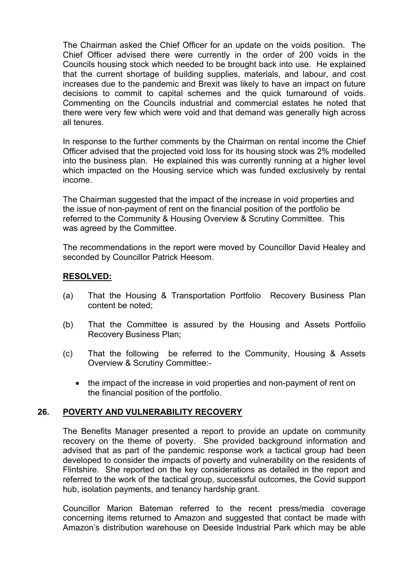The Chairman asked the Chief Officer for an update on the voids position. The Chief Officer advised there were currently in the order of 200 voids in the Councils housing stock which needed to be brought back into use. He explained that the current shortage of building supplies, materials, and labour, and cost increases due to the pandemic and Brexit was likely to have an impact on future decisions to commit to capital schemes and the quick turnaround of voids. Commenting on the Councils industrial and commercial estates he noted that there were very few which were void and that demand was generally high across all tenures.

In response to the further comments by the Chairman on rental income the Chief Officer advised that the projected void loss for its housing stock was 2% modelled into the business plan. He explained this was currently running at a higher level which impacted on the Housing service which was funded exclusively by rental income.

The Chairman suggested that the impact of the increase in void properties and the issue of non-payment of rent on the financial position of the portfolio be referred to the Community & Housing Overview & Scrutiny Committee. This was agreed by the Committee.

The recommendations in the report were moved by Councillor David Healey and seconded by Councillor Patrick Heesom.

### **RESOLVED:**

- (a) That the Housing & Transportation Portfolio Recovery Business Plan content be noted;
- (b) That the Committee is assured by the Housing and Assets Portfolio Recovery Business Plan;
- (c) That the following be referred to the Community, Housing & Assets Overview & Scrutiny Committee:-
	- the impact of the increase in void properties and non-payment of rent on the financial position of the portfolio.

### **26. POVERTY AND VULNERABILITY RECOVERY**

The Benefits Manager presented a report to provide an update on community recovery on the theme of poverty. She provided background information and advised that as part of the pandemic response work a tactical group had been developed to consider the impacts of poverty and vulnerability on the residents of Flintshire. She reported on the key considerations as detailed in the report and referred to the work of the tactical group, successful outcomes, the Covid support hub, isolation payments, and tenancy hardship grant.

Councillor Marion Bateman referred to the recent press/media coverage concerning items returned to Amazon and suggested that contact be made with Amazon's distribution warehouse on Deeside Industrial Park which may be able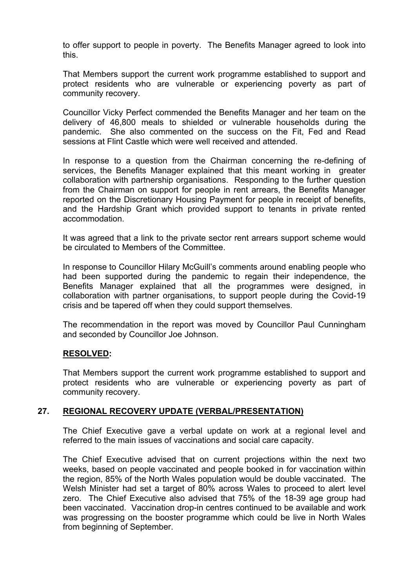to offer support to people in poverty. The Benefits Manager agreed to look into this.

That Members support the current work programme established to support and protect residents who are vulnerable or experiencing poverty as part of community recovery.

Councillor Vicky Perfect commended the Benefits Manager and her team on the delivery of 46,800 meals to shielded or vulnerable households during the pandemic. She also commented on the success on the Fit, Fed and Read sessions at Flint Castle which were well received and attended.

In response to a question from the Chairman concerning the re-defining of services, the Benefits Manager explained that this meant working in greater collaboration with partnership organisations. Responding to the further question from the Chairman on support for people in rent arrears, the Benefits Manager reported on the Discretionary Housing Payment for people in receipt of benefits, and the Hardship Grant which provided support to tenants in private rented accommodation.

It was agreed that a link to the private sector rent arrears support scheme would be circulated to Members of the Committee.

In response to Councillor Hilary McGuill's comments around enabling people who had been supported during the pandemic to regain their independence, the Benefits Manager explained that all the programmes were designed, in collaboration with partner organisations, to support people during the Covid-19 crisis and be tapered off when they could support themselves.

The recommendation in the report was moved by Councillor Paul Cunningham and seconded by Councillor Joe Johnson.

### **RESOLVED:**

That Members support the current work programme established to support and protect residents who are vulnerable or experiencing poverty as part of community recovery.

### **27. REGIONAL RECOVERY UPDATE (VERBAL/PRESENTATION)**

The Chief Executive gave a verbal update on work at a regional level and referred to the main issues of vaccinations and social care capacity.

The Chief Executive advised that on current projections within the next two weeks, based on people vaccinated and people booked in for vaccination within the region, 85% of the North Wales population would be double vaccinated. The Welsh Minister had set a target of 80% across Wales to proceed to alert level zero. The Chief Executive also advised that 75% of the 18-39 age group had been vaccinated. Vaccination drop-in centres continued to be available and work was progressing on the booster programme which could be live in North Wales from beginning of September.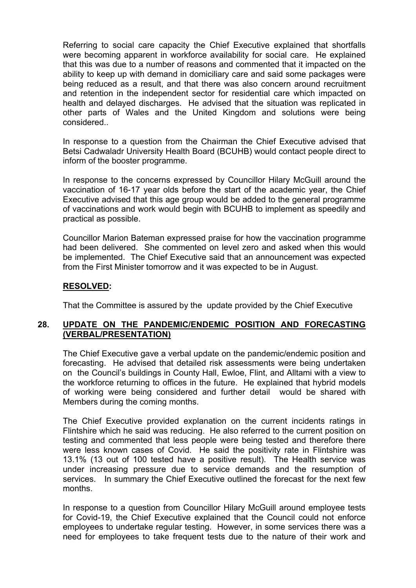Referring to social care capacity the Chief Executive explained that shortfalls were becoming apparent in workforce availability for social care. He explained that this was due to a number of reasons and commented that it impacted on the ability to keep up with demand in domiciliary care and said some packages were being reduced as a result, and that there was also concern around recruitment and retention in the independent sector for residential care which impacted on health and delayed discharges. He advised that the situation was replicated in other parts of Wales and the United Kingdom and solutions were being considered..

In response to a question from the Chairman the Chief Executive advised that Betsi Cadwaladr University Health Board (BCUHB) would contact people direct to inform of the booster programme.

In response to the concerns expressed by Councillor Hilary McGuill around the vaccination of 16-17 year olds before the start of the academic year, the Chief Executive advised that this age group would be added to the general programme of vaccinations and work would begin with BCUHB to implement as speedily and practical as possible.

Councillor Marion Bateman expressed praise for how the vaccination programme had been delivered. She commented on level zero and asked when this would be implemented. The Chief Executive said that an announcement was expected from the First Minister tomorrow and it was expected to be in August.

## **RESOLVED:**

That the Committee is assured by the update provided by the Chief Executive

## **28. UPDATE ON THE PANDEMIC/ENDEMIC POSITION AND FORECASTING (VERBAL/PRESENTATION)**

The Chief Executive gave a verbal update on the pandemic/endemic position and forecasting. He advised that detailed risk assessments were being undertaken on the Council's buildings in County Hall, Ewloe, Flint, and Alltami with a view to the workforce returning to offices in the future. He explained that hybrid models of working were being considered and further detail would be shared with Members during the coming months.

The Chief Executive provided explanation on the current incidents ratings in Flintshire which he said was reducing. He also referred to the current position on testing and commented that less people were being tested and therefore there were less known cases of Covid. He said the positivity rate in Flintshire was 13.1% (13 out of 100 tested have a positive result). The Health service was under increasing pressure due to service demands and the resumption of services. In summary the Chief Executive outlined the forecast for the next few months.

In response to a question from Councillor Hilary McGuill around employee tests for Covid-19, the Chief Executive explained that the Council could not enforce employees to undertake regular testing. However, in some services there was a need for employees to take frequent tests due to the nature of their work and